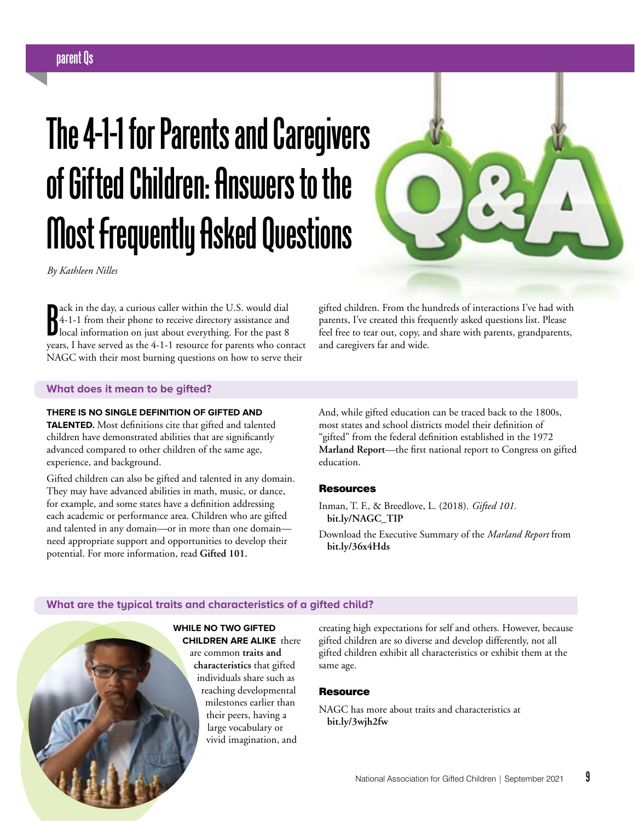# **parent Qs**

# **The 4-1-1 for Parents and Caregivers of Gifted Children: Answers to the Most Frequently Asked Questions**

*By Kathleen Nilles*

ack in the day, a curious caller within the U.S. would dial<br>4-1-1 from their phone to receive directory assistance and<br>local information on just about everything. For the past 8<br>waves I have served as the 4.1.1 reserves fo ack in the day, a curious caller within the U.S. would dial 4-1-1 from their phone to receive directory assistance and years, I have served as the 4-1-1 resource for parents who contact NAGC with their most burning questions on how to serve their

gifted children. From the hundreds of interactions I've had with parents, I've created this frequently asked questions list. Please feel free to tear out, copy, and share with parents, grandparents, and caregivers far and wide.

#### **What does it mean to be gifted?**

#### **THERE IS NO SINGLE DEFINITION OF GIFTED AND**

**TALENTED.** Most definitions cite that gifted and talented children have demonstrated abilities that are significantly advanced compared to other children of the same age, experience, and background.

Gifted children can also be gifted and talented in any domain. They may have advanced abilities in math, music, or dance, for example, and some states have a definition addressing each academic or performance area. Children who are gifted and talented in any domain—or in more than one domain need appropriate support and opportunities to develop their potential. For more information, read **Gifted 101.**

And, while gifted education can be traced back to the 1800s, most states and school districts model their definition of "gifted" from the federal definition established in the 1972 **Marland Report**—the first national report to Congress on gifted education.

#### Resources

- Inman, T. F., & Breedlove, L. (2018). *Gifted 101.* **bit.ly/NAGC\_TIP**
- Download the Executive Summary of the *Marland Report* from **bit.ly/36x4Hds**

#### **What are the typical traits and characteristics of a gifted child?**

**WHILE NO TWO GIFTED CHILDREN ARE ALIKE** there are common **traits and characteristics** that gifted individuals share such as reaching developmental milestones earlier than their peers, having a large vocabulary or vivid imagination, and

creating high expectations for self and others. However, because gifted children are so diverse and develop differently, not all gifted children exhibit all characteristics or exhibit them at the same age.

#### **Resource**

NAGC has more about traits and characteristics at **bit.ly/3wjh2fw**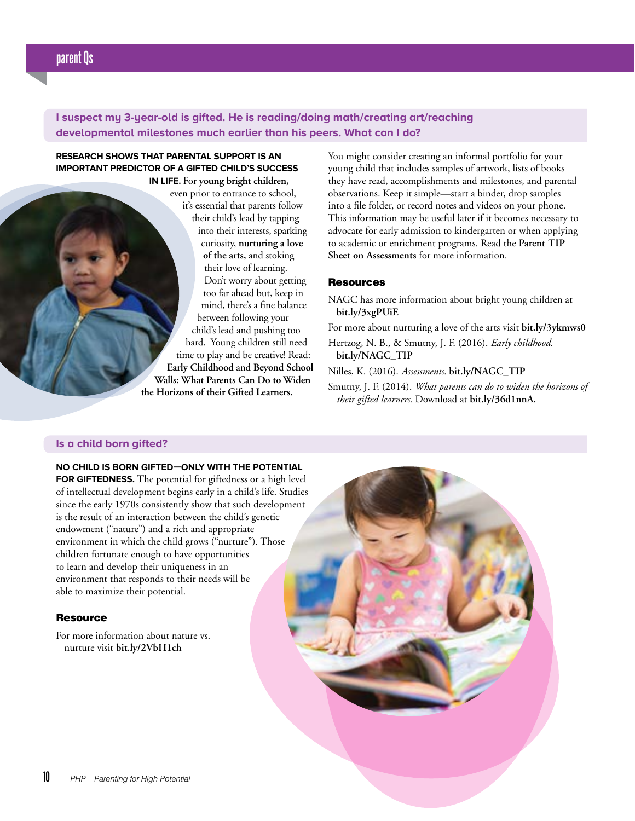# **I suspect my 3-year-old is gifted. He is reading/doing math/creating art/reaching developmental milestones much earlier than his peers. What can I do?**

# **RESEARCH SHOWS THAT PARENTAL SUPPORT IS AN IMPORTANT PREDICTOR OF A GIFTED CHILD'S SUCCESS**

**IN LIFE.** For **young bright children,** even prior to entrance to school, it's essential that parents follow their child's lead by tapping into their interests, sparking curiosity, **nurturing a love of the arts,** and stoking their love of learning. Don't worry about getting too far ahead but, keep in mind, there's a fine balance between following your child's lead and pushing too hard. Young children still need time to play and be creative! Read: **Early Childhood** and **Beyond School Walls: What Parents Can Do to Widen the Horizons of their Gifted Learners.**

You might consider creating an informal portfolio for your young child that includes samples of artwork, lists of books they have read, accomplishments and milestones, and parental observations. Keep it simple—start a binder, drop samples into a file folder, or record notes and videos on your phone. This information may be useful later if it becomes necessary to advocate for early admission to kindergarten or when applying to academic or enrichment programs. Read the **Parent TIP Sheet on Assessments** for more information.

#### **Resources**

NAGC has more information about bright young children at **bit.ly/3xgPUiE**

For more about nurturing a love of the arts visit **bit.ly/3ykmws0**

Hertzog, N. B., & Smutny, J. F. (2016). *Early childhood.* **bit.ly/NAGC\_TIP**

Nilles, K. (2016). *Assessments.* **bit.ly/NAGC\_TIP**

Smutny, J. F. (2014). *What parents can do to widen the horizons of their gifted learners.* Download at **bit.ly/36d1nnA.**

#### **Is a child born gifted?**

**NO CHILD IS BORN GIFTED—ONLY WITH THE POTENTIAL FOR GIFTEDNESS.** The potential for giftedness or a high level

of intellectual development begins early in a child's life. Studies since the early 1970s consistently show that such development is the result of an interaction between the child's genetic endowment ("nature") and a rich and appropriate environment in which the child grows ("nurture"). Those children fortunate enough to have opportunities to learn and develop their uniqueness in an environment that responds to their needs will be able to maximize their potential.

#### **Resource**

For more information about nature vs. nurture visit **bit.ly/2VbH1ch**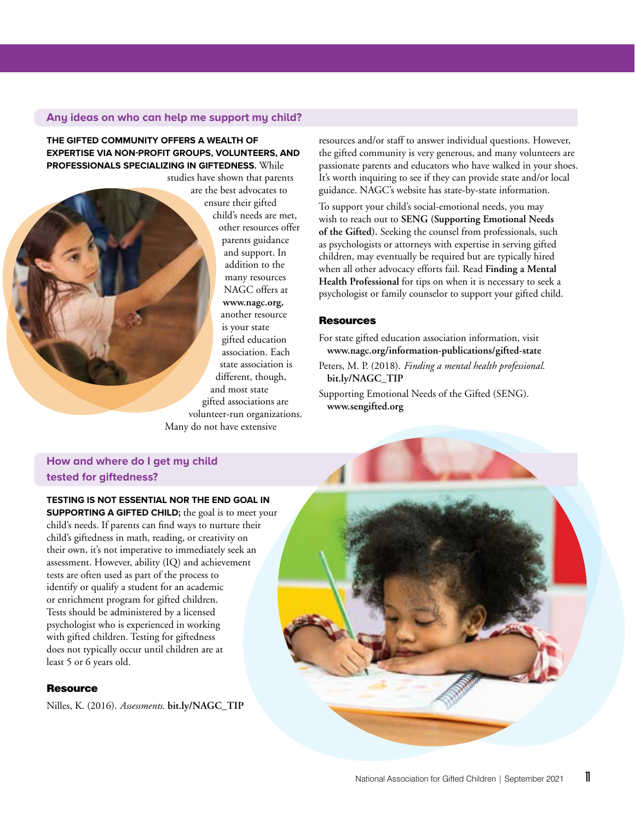#### **Any ideas on who can help me support my child?**

**THE GIFTED COMMUNITY OFFERS A WEALTH OF EXPERTISE VIA NON-PROFIT GROUPS, VOLUNTEERS, AND PROFESSIONALS SPECIALIZING IN GIFTEDNESS.** While

studies have shown that parents are the best advocates to ensure their gifted child's needs are met, other resources offer parents guidance and support. In addition to the many resources NAGC offers at **www.nagc.org,** another resource is your state gifted education association. Each state association is different, though, and most state gifted associations are volunteer-run organizations. Many do not have extensive

resources and/or staff to answer individual questions. However, the gifted community is very generous, and many volunteers are passionate parents and educators who have walked in your shoes. It's worth inquiring to see if they can provide state and/or local guidance. NAGC's website has state-by-state information.

To support your child's social-emotional needs, you may wish to reach out to **SENG (Supporting Emotional Needs of the Gifted).** Seeking the counsel from professionals, such as psychologists or attorneys with expertise in serving gifted children, may eventually be required but are typically hired when all other advocacy efforts fail. Read **Finding a Mental Health Professional** for tips on when it is necessary to seek a psychologist or family counselor to support your gifted child.

#### **Resources**

For state gifted education association information, visit **www.nagc.org/information-publications/gifted-state**

Peters, M. P. (2018). *Finding a mental health professional.* **bit.ly/NAGC\_TIP** 

Supporting Emotional Needs of the Gifted (SENG). **www.sengifted.org**

# **How and where do I get my child tested for giftedness?**

#### **TESTING IS NOT ESSENTIAL NOR THE END GOAL IN**

**SUPPORTING A GIFTED CHILD;** the goal is to meet your child's needs. If parents can find ways to nurture their child's giftedness in math, reading, or creativity on their own, it's not imperative to immediately seek an assessment. However, ability (IQ) and achievement tests are often used as part of the process to identify or qualify a student for an academic or enrichment program for gifted children. Tests should be administered by a licensed psychologist who is experienced in working with gifted children. Testing for giftedness does not typically occur until children are at least 5 or 6 years old.

#### **Resource**

Nilles, K. (2016). *Assessments.* **bit.ly/NAGC\_TIP**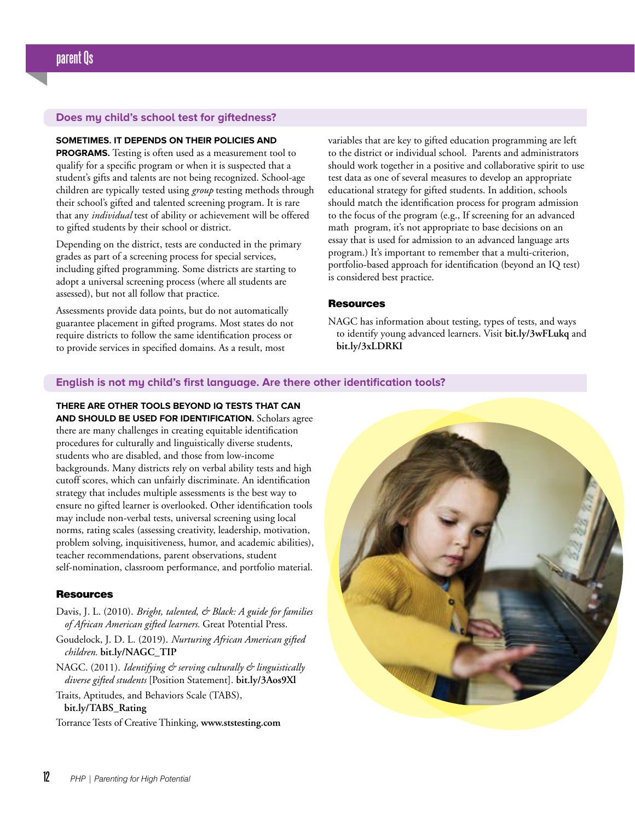#### **Does my child's school test for giftedness?**

#### **SOMETIMES. IT DEPENDS ON THEIR POLICIES AND**

**PROGRAMS.** Testing is often used as a measurement tool to qualify for a specific program or when it is suspected that a student's gifts and talents are not being recognized. School-age children are typically tested using *group* testing methods through their school's gifted and talented screening program. It is rare that any *individual* test of ability or achievement will be offered to gifted students by their school or district.

Depending on the district, tests are conducted in the primary grades as part of a screening process for special services, including gifted programming. Some districts are starting to adopt a universal screening process (where all students are assessed), but not all follow that practice.

Assessments provide data points, but do not automatically guarantee placement in gifted programs. Most states do not require districts to follow the same identification process or to provide services in specified domains. As a result, most

variables that are key to gifted education programming are left to the district or individual school. Parents and administrators should work together in a positive and collaborative spirit to use test data as one of several measures to develop an appropriate educational strategy for gifted students. In addition, schools should match the identification process for program admission to the focus of the program (e.g., If screening for an advanced math program, it's not appropriate to base decisions on an essay that is used for admission to an advanced language arts program.) It's important to remember that a multi-criterion, portfolio-based approach for identification (beyond an IQ test) is considered best practice.

#### **Resources**

NAGC has information about testing, types of tests, and ways to identify young advanced learners. Visit **bit.ly/3wFLukq** and **bit.ly/3xLDRKI**

#### **English is not my child's first language. Are there other identification tools?**

**THERE ARE OTHER TOOLS BEYOND IQ TESTS THAT CAN AND SHOULD BE USED FOR IDENTIFICATION.** Scholars agree there are many challenges in creating equitable identification procedures for culturally and linguistically diverse students, students who are disabled, and those from low-income backgrounds. Many districts rely on verbal ability tests and high cutoff scores, which can unfairly discriminate. An identification strategy that includes multiple assessments is the best way to ensure no gifted learner is overlooked. Other identification tools may include non-verbal tests, universal screening using local norms, rating scales (assessing creativity, leadership, motivation, problem solving, inquisitiveness, humor, and academic abilities), teacher recommendations, parent observations, student self-nomination, classroom performance, and portfolio material.

#### **Resources**

- Davis, J. L. (2010). *Bright, talented, & Black: A guide for families of African American gifted learners.* Great Potential Press.
- Goudelock, J. D. L. (2019). *Nurturing African American gifted children.* **bit.ly/NAGC\_TIP**
- NAGC. (2011). *Identifying & serving culturally & linguistically diverse gifted students* [Position Statement]. **bit.ly/3Aos9Xl**
- Traits, Aptitudes, and Behaviors Scale (TABS), **bit.ly/TABS\_Rating**
- Torrance Tests of Creative Thinking, **www.ststesting.com**

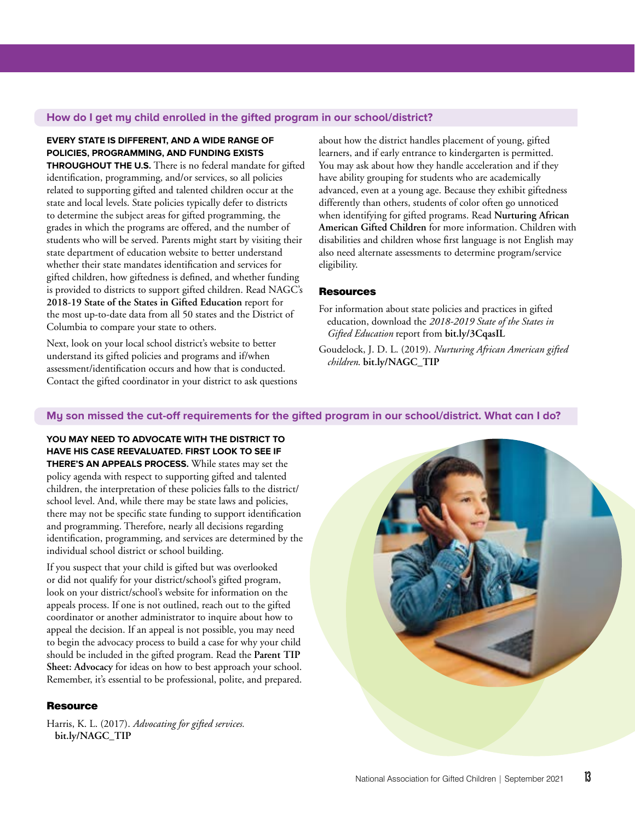#### **How do I get my child enrolled in the gifted program in our school/district?**

#### **EVERY STATE IS DIFFERENT, AND A WIDE RANGE OF POLICIES, PROGRAMMING, AND FUNDING EXISTS**

**THROUGHOUT THE U.S.** There is no federal mandate for gifted identification, programming, and/or services, so all policies related to supporting gifted and talented children occur at the state and local levels. State policies typically defer to districts to determine the subject areas for gifted programming, the grades in which the programs are offered, and the number of students who will be served. Parents might start by visiting their state department of education website to better understand whether their state mandates identification and services for gifted children, how giftedness is defined, and whether funding is provided to districts to support gifted children. Read NAGC's **2018-19 State of the States in Gifted Education** report for the most up-to-date data from all 50 states and the District of Columbia to compare your state to others.

Next, look on your local school district's website to better understand its gifted policies and programs and if/when assessment/identification occurs and how that is conducted. Contact the gifted coordinator in your district to ask questions

about how the district handles placement of young, gifted learners, and if early entrance to kindergarten is permitted. You may ask about how they handle acceleration and if they have ability grouping for students who are academically advanced, even at a young age. Because they exhibit giftedness differently than others, students of color often go unnoticed when identifying for gifted programs. Read **Nurturing African American Gifted Children** for more information. Children with disabilities and children whose first language is not English may also need alternate assessments to determine program/service eligibility.

#### **Resources**

For information about state policies and practices in gifted education, download the *2018-2019 State of the States in Gifted Education* report from **bit.ly/3CqasIL**

Goudelock, J. D. L. (2019). *Nurturing African American gifted children*. **bit.ly/NAGC\_TIP**

### **My son missed the cut-off requirements for the gifted program in our school/district. What can I do?**

**YOU MAY NEED TO ADVOCATE WITH THE DISTRICT TO HAVE HIS CASE REEVALUATED. FIRST LOOK TO SEE IF THERE'S AN APPEALS PROCESS.** While states may set the policy agenda with respect to supporting gifted and talented children, the interpretation of these policies falls to the district/ school level. And, while there may be state laws and policies, there may not be specific state funding to support identification and programming. Therefore, nearly all decisions regarding identification, programming, and services are determined by the individual school district or school building.

If you suspect that your child is gifted but was overlooked or did not qualify for your district/school's gifted program, look on your district/school's website for information on the appeals process. If one is not outlined, reach out to the gifted coordinator or another administrator to inquire about how to appeal the decision. If an appeal is not possible, you may need to begin the advocacy process to build a case for why your child should be included in the gifted program. Read the **Parent TIP Sheet: Advocacy** for ideas on how to best approach your school. Remember, it's essential to be professional, polite, and prepared.

#### **Resource**

Harris, K. L. (2017). *Advocating for gifted services.* **bit.ly/NAGC\_TIP**

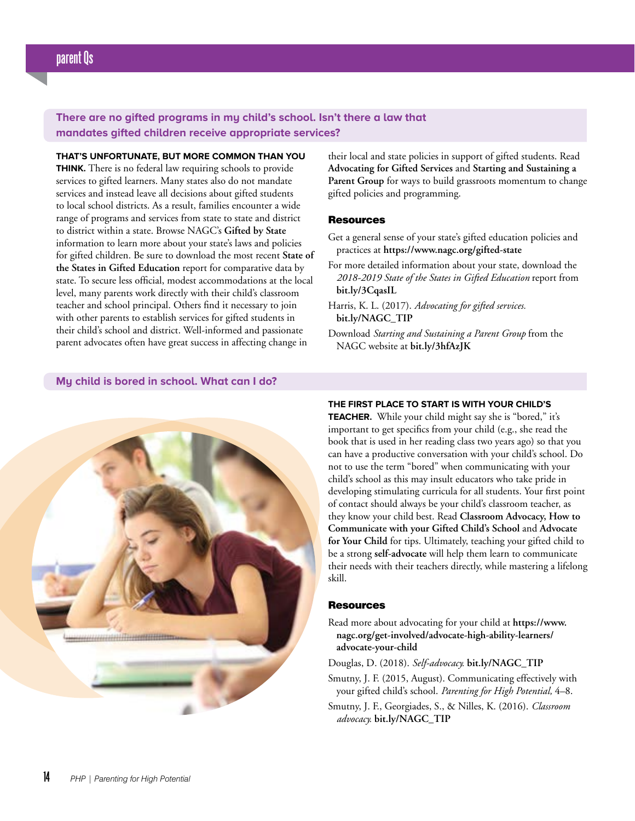**There are no gifted programs in my child's school. Isn't there a law that mandates gifted children receive appropriate services?**

**THAT'S UNFORTUNATE, BUT MORE COMMON THAN YOU THINK.** There is no federal law requiring schools to provide services to gifted learners. Many states also do not mandate services and instead leave all decisions about gifted students to local school districts. As a result, families encounter a wide range of programs and services from state to state and district to district within a state. Browse NAGC's **Gifted by State** information to learn more about your state's laws and policies for gifted children. Be sure to download the most recent **State of the States in Gifted Education** report for comparative data by state. To secure less official, modest accommodations at the local level, many parents work directly with their child's classroom teacher and school principal. Others find it necessary to join with other parents to establish services for gifted students in their child's school and district. Well-informed and passionate parent advocates often have great success in affecting change in

their local and state policies in support of gifted students. Read **Advocating for Gifted Services** and **Starting and Sustaining a**  Parent Group for ways to build grassroots momentum to change gifted policies and programming.

#### Resources

- Get a general sense of your state's gifted education policies and practices at **https://www.nagc.org/gifted-state**
- For more detailed information about your state, download the *2018-2019 State of the States in Gifted Education* report from **bit.ly/3CqasIL**
- Harris, K. L. (2017). *Advocating for gifted services.* **bit.ly/NAGC\_TIP**
- Download *Starting and Sustaining a Parent Group* from the NAGC website at **bit.ly/3hfAzJK**

#### **My child is bored in school. What can I do?**



#### **THE FIRST PLACE TO START IS WITH YOUR CHILD'S**

**TEACHER.** While your child might say she is "bored," it's important to get specifics from your child (e.g., she read the book that is used in her reading class two years ago) so that you can have a productive conversation with your child's school. Do not to use the term "bored" when communicating with your child's school as this may insult educators who take pride in developing stimulating curricula for all students. Your first point of contact should always be your child's classroom teacher, as they know your child best. Read **Classroom Advocacy, How to Communicate with your Gifted Child's School** and **Advocate for Your Child** for tips. Ultimately, teaching your gifted child to be a strong **self-advocate** will help them learn to communicate their needs with their teachers directly, while mastering a lifelong skill.

#### **Resources**

- Read more about advocating for your child at **https://www. nagc.org/get-involved/advocate-high-ability-learners/ advocate-your-child**
- Douglas, D. (2018). *Self-advocacy.* **bit.ly/NAGC\_TIP**
- Smutny, J. F. (2015, August). Communicating effectively with your gifted child's school. *Parenting for High Potential,* 4–8.
- Smutny, J. F., Georgiades, S., & Nilles, K. (2016). *Classroom advocacy.* **bit.ly/NAGC\_TIP**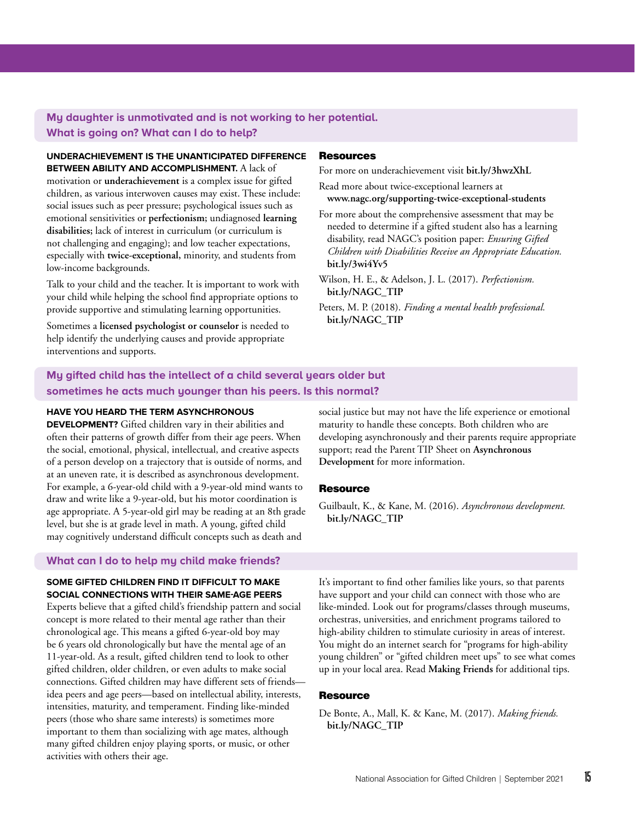# **My daughter is unmotivated and is not working to her potential. What is going on? What can I do to help?**

#### **UNDERACHIEVEMENT IS THE UNANTICIPATED DIFFERENCE BETWEEN ABILITY AND ACCOMPLISHMENT.** A lack of

motivation or **underachievement** is a complex issue for gifted children, as various interwoven causes may exist. These include: social issues such as peer pressure; psychological issues such as emotional sensitivities or **perfectionism;** undiagnosed **learning disabilities;** lack of interest in curriculum (or curriculum is not challenging and engaging); and low teacher expectations, especially with **twice-exceptional,** minority, and students from low-income backgrounds.

Talk to your child and the teacher. It is important to work with your child while helping the school find appropriate options to provide supportive and stimulating learning opportunities.

Sometimes a **licensed psychologist or counselor** is needed to help identify the underlying causes and provide appropriate interventions and supports.

#### **Resources**

For more on underachievement visit **bit.ly/3hwzXhL**

Read more about twice-exceptional learners at **www.nagc.org/supporting-twice-exceptional-students**

For more about the comprehensive assessment that may be needed to determine if a gifted student also has a learning disability, read NAGC's position paper: *Ensuring Gifted Children with Disabilities Receive an Appropriate Education.* **bit.ly/3wi4Yv5**

Wilson, H. E., & Adelson, J. L. (2017). *Perfectionism.*  **bit.ly/NAGC\_TIP**

Peters, M. P. (2018). *Finding a mental health professional.*  **bit.ly/NAGC\_TIP**

# **My gifted child has the intellect of a child several years older but sometimes he acts much younger than his peers. Is this normal?**

#### **HAVE YOU HEARD THE TERM ASYNCHRONOUS**

**DEVELOPMENT?** Gifted children vary in their abilities and often their patterns of growth differ from their age peers. When the social, emotional, physical, intellectual, and creative aspects of a person develop on a trajectory that is outside of norms, and at an uneven rate, it is described as asynchronous development. For example, a 6-year-old child with a 9-year-old mind wants to draw and write like a 9-year-old, but his motor coordination is age appropriate. A 5-year-old girl may be reading at an 8th grade level, but she is at grade level in math. A young, gifted child may cognitively understand difficult concepts such as death and

#### **What can I do to help my child make friends?**

**SOME GIFTED CHILDREN FIND IT DIFFICULT TO MAKE SOCIAL CONNECTIONS WITH THEIR SAME-AGE PEERS** 

Experts believe that a gifted child's friendship pattern and social concept is more related to their mental age rather than their chronological age. This means a gifted 6-year-old boy may be 6 years old chronologically but have the mental age of an 11-year-old. As a result, gifted children tend to look to other gifted children, older children, or even adults to make social connections. Gifted children may have different sets of friends idea peers and age peers—based on intellectual ability, interests, intensities, maturity, and temperament. Finding like-minded peers (those who share same interests) is sometimes more important to them than socializing with age mates, although many gifted children enjoy playing sports, or music, or other activities with others their age.

social justice but may not have the life experience or emotional maturity to handle these concepts. Both children who are developing asynchronously and their parents require appropriate support; read the Parent TIP Sheet on **Asynchronous Development** for more information.

#### **Resource**

Guilbault, K., & Kane, M. (2016). *Asynchronous development.*  **bit.ly/NAGC\_TIP**

It's important to find other families like yours, so that parents have support and your child can connect with those who are like-minded. Look out for programs/classes through museums, orchestras, universities, and enrichment programs tailored to high-ability children to stimulate curiosity in areas of interest. You might do an internet search for "programs for high-ability young children" or "gifted children meet ups" to see what comes up in your local area. Read **Making Friends** for additional tips.

#### **Resource**

De Bonte, A., Mall, K. & Kane, M. (2017). *Making friends.*  **bit.ly/NAGC\_TIP**